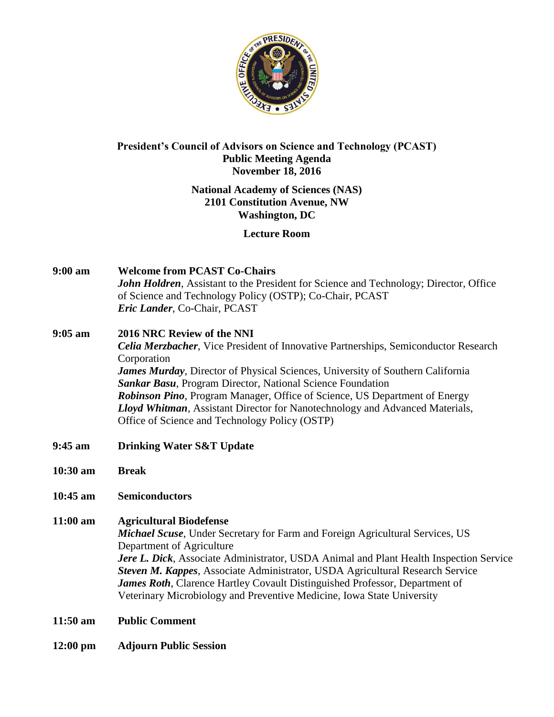

# **President's Council of Advisors on Science and Technology (PCAST) Public Meeting Agenda November 18, 2016**

# **National Academy of Sciences (NAS) 2101 Constitution Avenue, NW Washington, DC**

# **Lecture Room**

- **9:00 am Welcome from PCAST Co-Chairs** *John Holdren*, Assistant to the President for Science and Technology; Director, Office of Science and Technology Policy (OSTP); Co-Chair, PCAST *Eric Lander*, Co-Chair, PCAST
- **9:05 am 2016 NRC Review of the NNI** *Celia Merzbacher*, Vice President of Innovative Partnerships, Semiconductor Research Corporation *James Murday*, Director of Physical Sciences, University of Southern California *Sankar Basu*, Program Director, National Science Foundation *Robinson Pino*, Program Manager, Office of Science, US Department of Energy *Lloyd Whitman*, Assistant Director for Nanotechnology and Advanced Materials, Office of Science and Technology Policy (OSTP)
- **9:45 am Drinking Water S&T Update**
- **10:30 am Break**
- **10:45 am Semiconductors**
- **11:00 am Agricultural Biodefense** *Michael Scuse*, Under Secretary for Farm and Foreign Agricultural Services, US Department of Agriculture *Jere L. Dick*, Associate Administrator, USDA Animal and Plant Health Inspection Service *Steven M. Kappes*, Associate Administrator, USDA Agricultural Research Service *James Roth*, Clarence Hartley Covault Distinguished Professor, Department of Veterinary Microbiology and Preventive Medicine, Iowa State University
- **11:50 am Public Comment**
- **12:00 pm Adjourn Public Session**